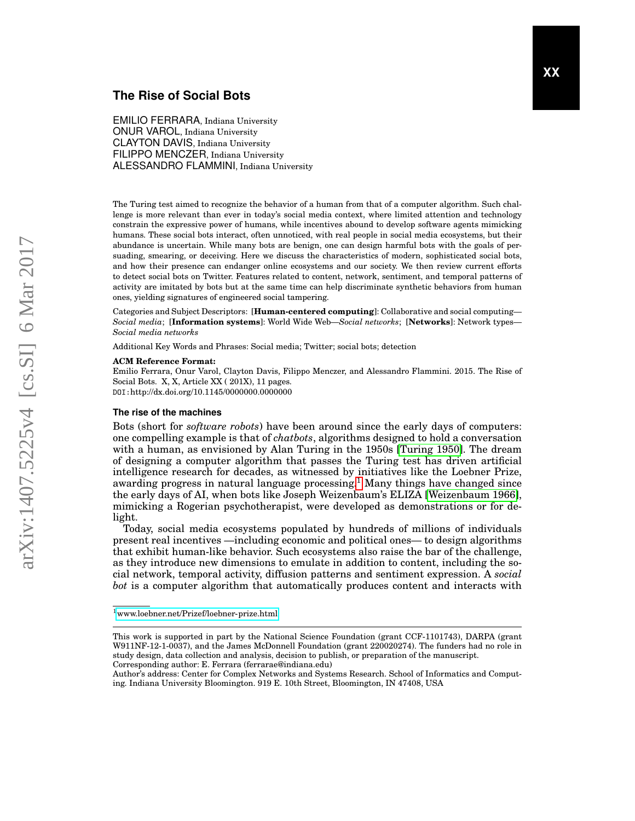# **The Rise of Social Bots**

EMILIO FERRARA, Indiana University ONUR VAROL, Indiana University CLAYTON DAVIS, Indiana University FILIPPO MENCZER, Indiana University ALESSANDRO FLAMMINI, Indiana University

The Turing test aimed to recognize the behavior of a human from that of a computer algorithm. Such challenge is more relevant than ever in today's social media context, where limited attention and technology constrain the expressive power of humans, while incentives abound to develop software agents mimicking humans. These social bots interact, often unnoticed, with real people in social media ecosystems, but their abundance is uncertain. While many bots are benign, one can design harmful bots with the goals of persuading, smearing, or deceiving. Here we discuss the characteristics of modern, sophisticated social bots, and how their presence can endanger online ecosystems and our society. We then review current efforts to detect social bots on Twitter. Features related to content, network, sentiment, and temporal patterns of activity are imitated by bots but at the same time can help discriminate synthetic behaviors from human ones, yielding signatures of engineered social tampering.

Categories and Subject Descriptors: [**Human-centered computing**]: Collaborative and social computing— *Social media*; [**Information systems**]: World Wide Web—*Social networks*; [**Networks**]: Network types— *Social media networks*

Additional Key Words and Phrases: Social media; Twitter; social bots; detection

#### **ACM Reference Format:**

Emilio Ferrara, Onur Varol, Clayton Davis, Filippo Menczer, and Alessandro Flammini. 2015. The Rise of Social Bots. X, X, Article XX ( 201X), 11 pages. DOI:http://dx.doi.org/10.1145/0000000.0000000

#### **The rise of the machines**

Bots (short for *software robots*) have been around since the early days of computers: one compelling example is that of *chatbots*, algorithms designed to hold a conversation with a human, as envisioned by Alan Turing in the 1950s [\[Turing 1950\]](#page-10-0). The dream of designing a computer algorithm that passes the Turing test has driven artificial intelligence research for decades, as witnessed by initiatives like the Loebner Prize, awarding progress in natural language processing.<sup>[1](#page-0-0)</sup> Many things have changed since the early days of AI, when bots like Joseph Weizenbaum's ELIZA [\[Weizenbaum 1966\]](#page-10-1), mimicking a Rogerian psychotherapist, were developed as demonstrations or for delight.

Today, social media ecosystems populated by hundreds of millions of individuals present real incentives —including economic and political ones— to design algorithms that exhibit human-like behavior. Such ecosystems also raise the bar of the challenge, as they introduce new dimensions to emulate in addition to content, including the social network, temporal activity, diffusion patterns and sentiment expression. A *social bot* is a computer algorithm that automatically produces content and interacts with

<span id="page-0-0"></span><sup>1</sup><www.loebner.net/Prizef/loebner-prize.html>

This work is supported in part by the National Science Foundation (grant CCF-1101743), DARPA (grant W911NF-12-1-0037), and the James McDonnell Foundation (grant 220020274). The funders had no role in study design, data collection and analysis, decision to publish, or preparation of the manuscript. Corresponding author: E. Ferrara (ferrarae@indiana.edu)

Author's address: Center for Complex Networks and Systems Research. School of Informatics and Computing. Indiana University Bloomington. 919 E. 10th Street, Bloomington, IN 47408, USA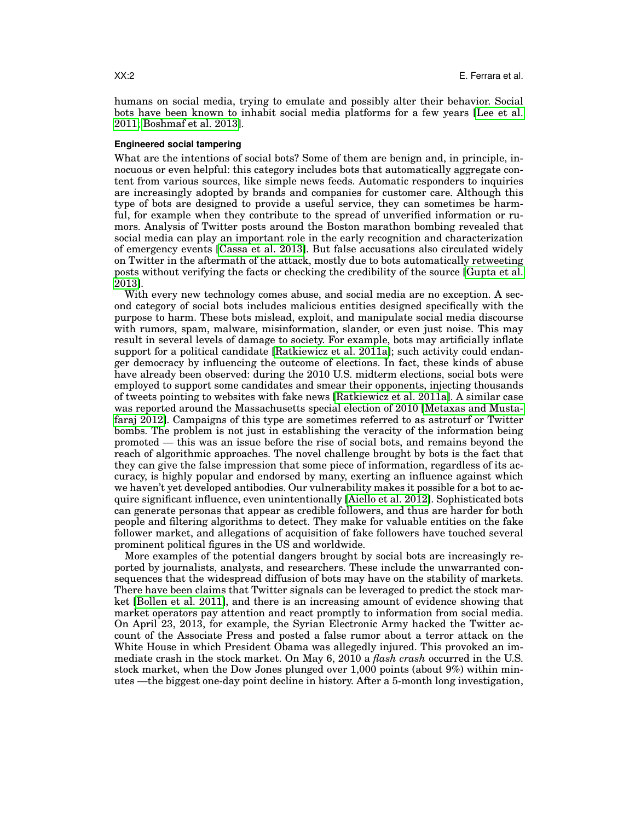humans on social media, trying to emulate and possibly alter their behavior. Social bots have been known to inhabit social media platforms for a few years [\[Lee et al.](#page-10-2) [2011;](#page-10-2) [Boshmaf et al. 2013\]](#page-9-0).

#### **Engineered social tampering**

What are the intentions of social bots? Some of them are benign and, in principle, innocuous or even helpful: this category includes bots that automatically aggregate content from various sources, like simple news feeds. Automatic responders to inquiries are increasingly adopted by brands and companies for customer care. Although this type of bots are designed to provide a useful service, they can sometimes be harmful, for example when they contribute to the spread of unverified information or rumors. Analysis of Twitter posts around the Boston marathon bombing revealed that social media can play an important role in the early recognition and characterization of emergency events [\[Cassa et al. 2013\]](#page-9-1). But false accusations also circulated widely on Twitter in the aftermath of the attack, mostly due to bots automatically retweeting posts without verifying the facts or checking the credibility of the source [\[Gupta et al.](#page-9-2) [2013\]](#page-9-2).

With every new technology comes abuse, and social media are no exception. A second category of social bots includes malicious entities designed specifically with the purpose to harm. These bots mislead, exploit, and manipulate social media discourse with rumors, spam, malware, misinformation, slander, or even just noise. This may result in several levels of damage to society. For example, bots may artificially inflate support for a political candidate [\[Ratkiewicz et al. 2011a\]](#page-10-3); such activity could endanger democracy by influencing the outcome of elections. In fact, these kinds of abuse have already been observed: during the 2010 U.S. midterm elections, social bots were employed to support some candidates and smear their opponents, injecting thousands of tweets pointing to websites with fake news [\[Ratkiewicz et al. 2011a\]](#page-10-3). A similar case was reported around the Massachusetts special election of 2010 [\[Metaxas and Musta](#page-10-4)[faraj 2012\]](#page-10-4). Campaigns of this type are sometimes referred to as astroturf or Twitter bombs. The problem is not just in establishing the veracity of the information being promoted — this was an issue before the rise of social bots, and remains beyond the reach of algorithmic approaches. The novel challenge brought by bots is the fact that they can give the false impression that some piece of information, regardless of its accuracy, is highly popular and endorsed by many, exerting an influence against which we haven't yet developed antibodies. Our vulnerability makes it possible for a bot to acquire significant influence, even unintentionally [\[Aiello et al. 2012\]](#page-9-3). Sophisticated bots can generate personas that appear as credible followers, and thus are harder for both people and filtering algorithms to detect. They make for valuable entities on the fake follower market, and allegations of acquisition of fake followers have touched several prominent political figures in the US and worldwide.

More examples of the potential dangers brought by social bots are increasingly reported by journalists, analysts, and researchers. These include the unwarranted consequences that the widespread diffusion of bots may have on the stability of markets. There have been claims that Twitter signals can be leveraged to predict the stock market [\[Bollen et al. 2011\]](#page-9-4), and there is an increasing amount of evidence showing that market operators pay attention and react promptly to information from social media. On April 23, 2013, for example, the Syrian Electronic Army hacked the Twitter account of the Associate Press and posted a false rumor about a terror attack on the White House in which President Obama was allegedly injured. This provoked an immediate crash in the stock market. On May 6, 2010 a *flash crash* occurred in the U.S. stock market, when the Dow Jones plunged over 1,000 points (about 9%) within minutes —the biggest one-day point decline in history. After a 5-month long investigation,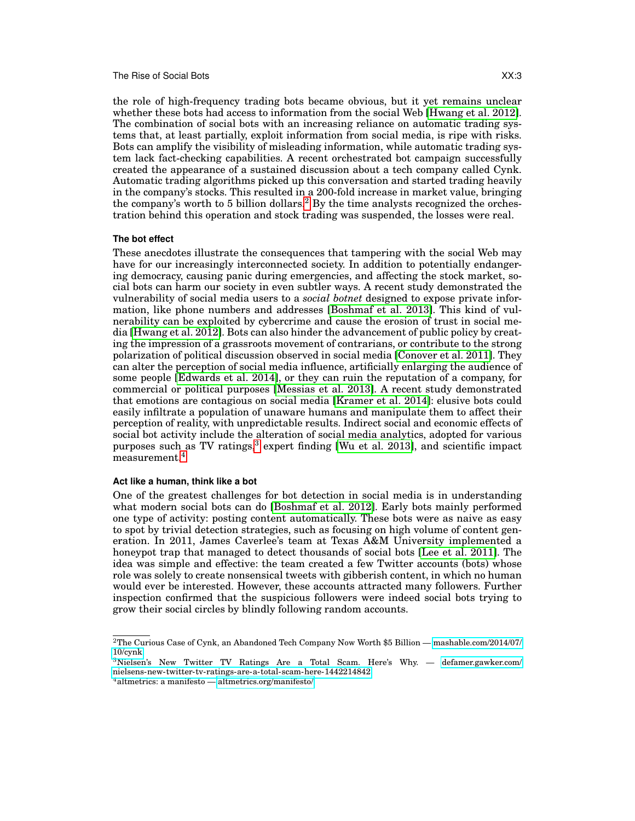### The Rise of Social Bots **XX:3**

the role of high-frequency trading bots became obvious, but it yet remains unclear whether these bots had access to information from the social Web [\[Hwang et al. 2012\]](#page-9-5). The combination of social bots with an increasing reliance on automatic trading systems that, at least partially, exploit information from social media, is ripe with risks. Bots can amplify the visibility of misleading information, while automatic trading system lack fact-checking capabilities. A recent orchestrated bot campaign successfully created the appearance of a sustained discussion about a tech company called Cynk. Automatic trading algorithms picked up this conversation and started trading heavily in the company's stocks. This resulted in a 200-fold increase in market value, bringing the company's worth to 5 billion dollars.<sup>[2](#page-2-0)</sup> By the time analysts recognized the orchestration behind this operation and stock trading was suspended, the losses were real.

## **The bot effect**

These anecdotes illustrate the consequences that tampering with the social Web may have for our increasingly interconnected society. In addition to potentially endangering democracy, causing panic during emergencies, and affecting the stock market, social bots can harm our society in even subtler ways. A recent study demonstrated the vulnerability of social media users to a *social botnet* designed to expose private information, like phone numbers and addresses [\[Boshmaf et al. 2013\]](#page-9-0). This kind of vulnerability can be exploited by cybercrime and cause the erosion of trust in social media [\[Hwang et al. 2012\]](#page-9-5). Bots can also hinder the advancement of public policy by creating the impression of a grassroots movement of contrarians, or contribute to the strong polarization of political discussion observed in social media [\[Conover et al. 2011\]](#page-9-6). They can alter the perception of social media influence, artificially enlarging the audience of some people [\[Edwards et al. 2014\]](#page-9-7), or they can ruin the reputation of a company, for commercial or political purposes [\[Messias et al. 2013\]](#page-10-5). A recent study demonstrated that emotions are contagious on social media [\[Kramer et al. 2014\]](#page-9-8): elusive bots could easily infiltrate a population of unaware humans and manipulate them to affect their perception of reality, with unpredictable results. Indirect social and economic effects of social bot activity include the alteration of social media analytics, adopted for various purposes such as TV ratings, $3$  expert finding [\[Wu et al. 2013\]](#page-10-6), and scientific impact measurement.[4](#page-2-2)

# **Act like a human, think like a bot**

One of the greatest challenges for bot detection in social media is in understanding what modern social bots can do [\[Boshmaf et al. 2012\]](#page-9-9). Early bots mainly performed one type of activity: posting content automatically. These bots were as naive as easy to spot by trivial detection strategies, such as focusing on high volume of content generation. In 2011, James Caverlee's team at Texas A&M University implemented a honeypot trap that managed to detect thousands of social bots [\[Lee et al. 2011\]](#page-10-2). The idea was simple and effective: the team created a few Twitter accounts (bots) whose role was solely to create nonsensical tweets with gibberish content, in which no human would ever be interested. However, these accounts attracted many followers. Further inspection confirmed that the suspicious followers were indeed social bots trying to grow their social circles by blindly following random accounts.

<span id="page-2-0"></span><sup>2</sup>The Curious Case of Cynk, an Abandoned Tech Company Now Worth \$5 Billion — [mashable.com/2014/07/](mashable.com/2014/07/10/cynk) [10/cynk](mashable.com/2014/07/10/cynk)

<span id="page-2-1"></span><sup>3</sup>Nielsen's New Twitter TV Ratings Are a Total Scam. Here's Why. — [defamer.gawker.com/](defamer.gawker.com/nielsens-new-twitter-tv-ratings-are-a-total-scam-here-1442214842) [nielsens-new-twitter-tv-ratings-are-a-total-scam-here-1442214842](defamer.gawker.com/nielsens-new-twitter-tv-ratings-are-a-total-scam-here-1442214842)

<span id="page-2-2"></span> $4$ altmetrics: a manifesto —<altmetrics.org/manifesto/>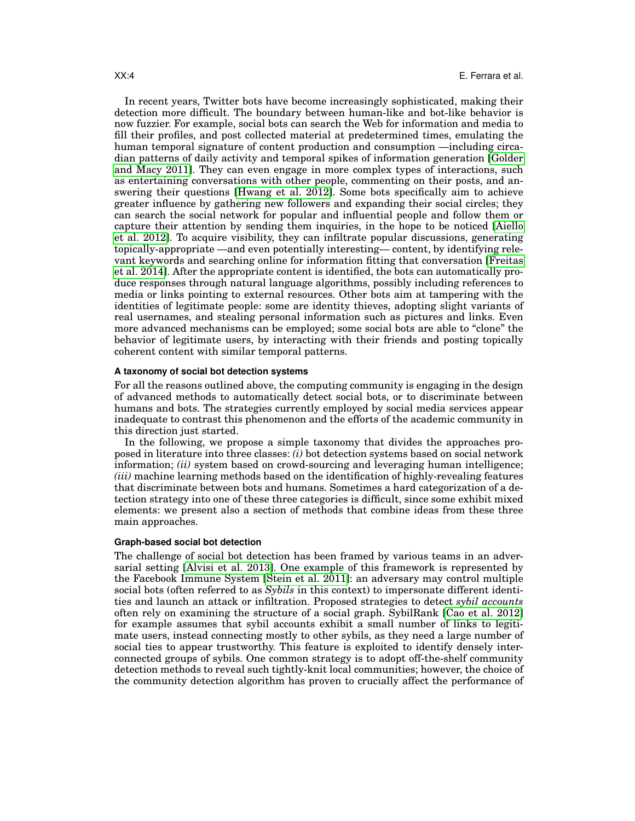In recent years, Twitter bots have become increasingly sophisticated, making their detection more difficult. The boundary between human-like and bot-like behavior is now fuzzier. For example, social bots can search the Web for information and media to fill their profiles, and post collected material at predetermined times, emulating the human temporal signature of content production and consumption —including circadian patterns of daily activity and temporal spikes of information generation [\[Golder](#page-9-10) [and Macy 2011\]](#page-9-10). They can even engage in more complex types of interactions, such as entertaining conversations with other people, commenting on their posts, and answering their questions [\[Hwang et al. 2012\]](#page-9-5). Some bots specifically aim to achieve greater influence by gathering new followers and expanding their social circles; they can search the social network for popular and influential people and follow them or capture their attention by sending them inquiries, in the hope to be noticed [\[Aiello](#page-9-3) [et al. 2012\]](#page-9-3). To acquire visibility, they can infiltrate popular discussions, generating topically-appropriate —and even potentially interesting— content, by identifying relevant keywords and searching online for information fitting that conversation [\[Freitas](#page-9-11) [et al. 2014\]](#page-9-11). After the appropriate content is identified, the bots can automatically produce responses through natural language algorithms, possibly including references to media or links pointing to external resources. Other bots aim at tampering with the identities of legitimate people: some are identity thieves, adopting slight variants of real usernames, and stealing personal information such as pictures and links. Even more advanced mechanisms can be employed; some social bots are able to "clone" the behavior of legitimate users, by interacting with their friends and posting topically coherent content with similar temporal patterns.

# **A taxonomy of social bot detection systems**

For all the reasons outlined above, the computing community is engaging in the design of advanced methods to automatically detect social bots, or to discriminate between humans and bots. The strategies currently employed by social media services appear inadequate to contrast this phenomenon and the efforts of the academic community in this direction just started.

In the following, we propose a simple taxonomy that divides the approaches proposed in literature into three classes: *(i)* bot detection systems based on social network information; *(ii)* system based on crowd-sourcing and leveraging human intelligence; *(iii)* machine learning methods based on the identification of highly-revealing features that discriminate between bots and humans. Sometimes a hard categorization of a detection strategy into one of these three categories is difficult, since some exhibit mixed elements: we present also a section of methods that combine ideas from these three main approaches.

# **Graph-based social bot detection**

The challenge of social bot detection has been framed by various teams in an adversarial setting [\[Alvisi et al. 2013\]](#page-9-12). One example of this framework is represented by the Facebook Immune System [\[Stein et al. 2011\]](#page-10-7): an adversary may control multiple social bots (often referred to as *Sybils* in this context) to impersonate different identities and launch an attack or infiltration. Proposed strategies to detect *sybil accounts* often rely on examining the structure of a social graph. SybilRank [\[Cao et al. 2012\]](#page-9-13) for example assumes that sybil accounts exhibit a small number of links to legitimate users, instead connecting mostly to other sybils, as they need a large number of social ties to appear trustworthy. This feature is exploited to identify densely interconnected groups of sybils. One common strategy is to adopt off-the-shelf community detection methods to reveal such tightly-knit local communities; however, the choice of the community detection algorithm has proven to crucially affect the performance of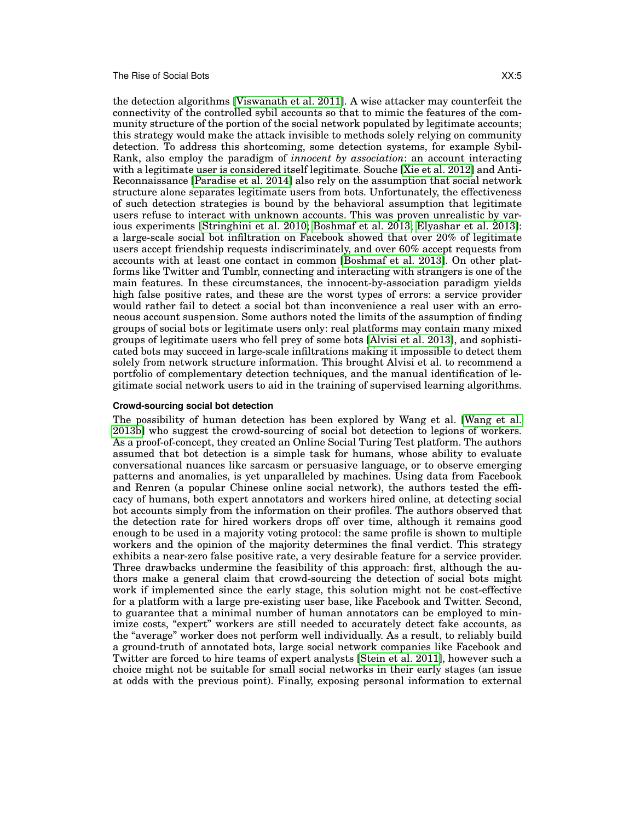#### The Rise of Social Bots **XX:5**

the detection algorithms [\[Viswanath et al. 2011\]](#page-10-8). A wise attacker may counterfeit the connectivity of the controlled sybil accounts so that to mimic the features of the community structure of the portion of the social network populated by legitimate accounts; this strategy would make the attack invisible to methods solely relying on community detection. To address this shortcoming, some detection systems, for example Sybil-Rank, also employ the paradigm of *innocent by association*: an account interacting with a legitimate user is considered itself legitimate. Souche [\[Xie et al. 2012\]](#page-10-9) and Anti-Reconnaissance [\[Paradise et al. 2014\]](#page-10-10) also rely on the assumption that social network structure alone separates legitimate users from bots. Unfortunately, the effectiveness of such detection strategies is bound by the behavioral assumption that legitimate users refuse to interact with unknown accounts. This was proven unrealistic by various experiments [\[Stringhini et al. 2010;](#page-10-11) [Boshmaf et al. 2013;](#page-9-0) [Elyashar et al. 2013\]](#page-9-14): a large-scale social bot infiltration on Facebook showed that over 20% of legitimate users accept friendship requests indiscriminately, and over 60% accept requests from accounts with at least one contact in common [\[Boshmaf et al. 2013\]](#page-9-0). On other platforms like Twitter and Tumblr, connecting and interacting with strangers is one of the main features. In these circumstances, the innocent-by-association paradigm yields high false positive rates, and these are the worst types of errors: a service provider would rather fail to detect a social bot than inconvenience a real user with an erroneous account suspension. Some authors noted the limits of the assumption of finding groups of social bots or legitimate users only: real platforms may contain many mixed groups of legitimate users who fell prey of some bots [\[Alvisi et al. 2013\]](#page-9-12), and sophisticated bots may succeed in large-scale infiltrations making it impossible to detect them solely from network structure information. This brought Alvisi et al. to recommend a portfolio of complementary detection techniques, and the manual identification of legitimate social network users to aid in the training of supervised learning algorithms.

## **Crowd-sourcing social bot detection**

The possibility of human detection has been explored by Wang et al. [\[Wang et al.](#page-10-12) [2013b\]](#page-10-12) who suggest the crowd-sourcing of social bot detection to legions of workers. As a proof-of-concept, they created an Online Social Turing Test platform. The authors assumed that bot detection is a simple task for humans, whose ability to evaluate conversational nuances like sarcasm or persuasive language, or to observe emerging patterns and anomalies, is yet unparalleled by machines. Using data from Facebook and Renren (a popular Chinese online social network), the authors tested the efficacy of humans, both expert annotators and workers hired online, at detecting social bot accounts simply from the information on their profiles. The authors observed that the detection rate for hired workers drops off over time, although it remains good enough to be used in a majority voting protocol: the same profile is shown to multiple workers and the opinion of the majority determines the final verdict. This strategy exhibits a near-zero false positive rate, a very desirable feature for a service provider. Three drawbacks undermine the feasibility of this approach: first, although the authors make a general claim that crowd-sourcing the detection of social bots might work if implemented since the early stage, this solution might not be cost-effective for a platform with a large pre-existing user base, like Facebook and Twitter. Second, to guarantee that a minimal number of human annotators can be employed to minimize costs, "expert" workers are still needed to accurately detect fake accounts, as the "average" worker does not perform well individually. As a result, to reliably build a ground-truth of annotated bots, large social network companies like Facebook and Twitter are forced to hire teams of expert analysts [\[Stein et al. 2011\]](#page-10-7), however such a choice might not be suitable for small social networks in their early stages (an issue at odds with the previous point). Finally, exposing personal information to external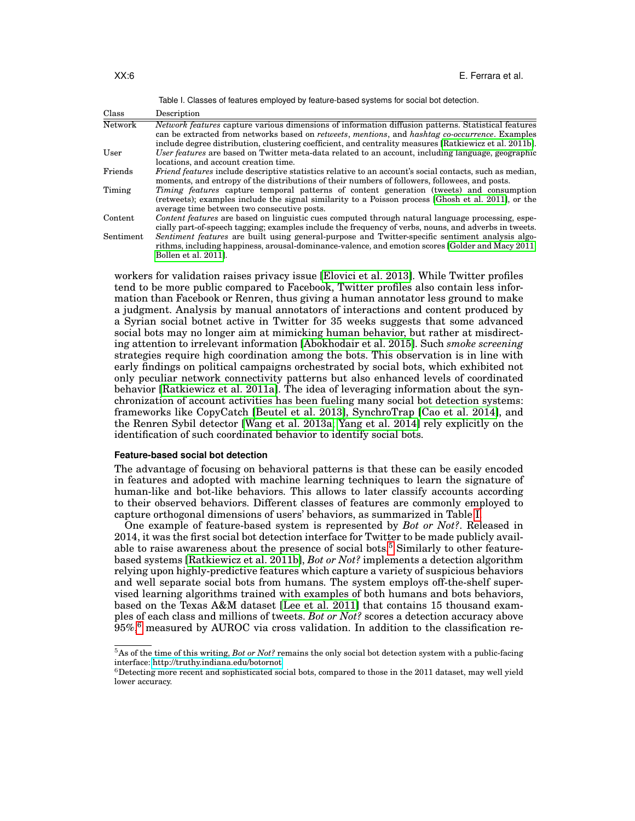<span id="page-5-0"></span>

|           | Table I. Classes of features employed by feature-based systems for social bot detection.                                                                                                                                                                                                                                                         |
|-----------|--------------------------------------------------------------------------------------------------------------------------------------------------------------------------------------------------------------------------------------------------------------------------------------------------------------------------------------------------|
| Class     | Description                                                                                                                                                                                                                                                                                                                                      |
| Network   | <i>Network features</i> capture various dimensions of information diffusion patterns. Statistical features<br>can be extracted from networks based on <i>retweets</i> , <i>mentions</i> , and <i>hashtag co-occurrence</i> . Examples<br>include degree distribution, clustering coefficient, and centrality measures [Ratkiewicz et al. 2011b]. |
| User      | User features are based on Twitter meta-data related to an account, including language, geographic<br>locations, and account creation time.                                                                                                                                                                                                      |
| Friends   | <i>Friend features</i> include descriptive statistics relative to an account's social contacts, such as median,<br>moments, and entropy of the distributions of their numbers of followers, followees, and posts.                                                                                                                                |
| Timing    | <i>Timing features</i> capture temporal patterns of content generation (tweets) and consumption<br>(retweets); examples include the signal similarity to a Poisson process [Ghosh et al. 2011], or the<br>average time between two consecutive posts.                                                                                            |
| Content   | Content features are based on linguistic cues computed through natural language processing, espe-<br>cially part-of-speech tagging; examples include the frequency of verbs, nouns, and adverbs in tweets.                                                                                                                                       |
| Sentiment | Sentiment features are built using general-purpose and Twitter-specific sentiment analysis algo-<br>rithms, including happiness, arousal-dominance-valence, and emotion scores [Golder and Macy 2011;<br>Bollen et al. 2011].                                                                                                                    |

workers for validation raises privacy issue [\[Elovici et al. 2013\]](#page-9-16). While Twitter profiles tend to be more public compared to Facebook, Twitter profiles also contain less information than Facebook or Renren, thus giving a human annotator less ground to make a judgment. Analysis by manual annotators of interactions and content produced by a Syrian social botnet active in Twitter for 35 weeks suggests that some advanced social bots may no longer aim at mimicking human behavior, but rather at misdirecting attention to irrelevant information [\[Abokhodair et al. 2015\]](#page-9-17). Such *smoke screening* strategies require high coordination among the bots. This observation is in line with early findings on political campaigns orchestrated by social bots, which exhibited not only peculiar network connectivity patterns but also enhanced levels of coordinated behavior [\[Ratkiewicz et al. 2011a\]](#page-10-3). The idea of leveraging information about the synchronization of account activities has been fueling many social bot detection systems: frameworks like CopyCatch [\[Beutel et al. 2013\]](#page-9-18), SynchroTrap [\[Cao et al. 2014\]](#page-9-19), and the Renren Sybil detector [\[Wang et al. 2013a;](#page-10-14) [Yang et al. 2014\]](#page-10-15) rely explicitly on the identification of such coordinated behavior to identify social bots.

#### **Feature-based social bot detection**

The advantage of focusing on behavioral patterns is that these can be easily encoded in features and adopted with machine learning techniques to learn the signature of human-like and bot-like behaviors. This allows to later classify accounts according to their observed behaviors. Different classes of features are commonly employed to capture orthogonal dimensions of users' behaviors, as summarized in Table [I.](#page-5-0)

One example of feature-based system is represented by *Bot or Not?*. Released in 2014, it was the first social bot detection interface for Twitter to be made publicly avail-able to raise awareness about the presence of social bots.<sup>[5](#page-5-1)</sup> Similarly to other featurebased systems [\[Ratkiewicz et al. 2011b\]](#page-10-13), *Bot or Not?* implements a detection algorithm relying upon highly-predictive features which capture a variety of suspicious behaviors and well separate social bots from humans. The system employs off-the-shelf supervised learning algorithms trained with examples of both humans and bots behaviors, based on the Texas A&M dataset [\[Lee et al. 2011\]](#page-10-2) that contains 15 thousand examples of each class and millions of tweets. *Bot or Not?* scores a detection accuracy above  $95\%,$ <sup>[6](#page-5-2)</sup> measured by AUROC via cross validation. In addition to the classification re-

<span id="page-5-1"></span><sup>5</sup>As of the time of this writing, *Bot or Not?* remains the only social bot detection system with a public-facing interface:<http://truthy.indiana.edu/botornot>

<span id="page-5-2"></span> $6$ Detecting more recent and sophisticated social bots, compared to those in the 2011 dataset, may well yield lower accuracy.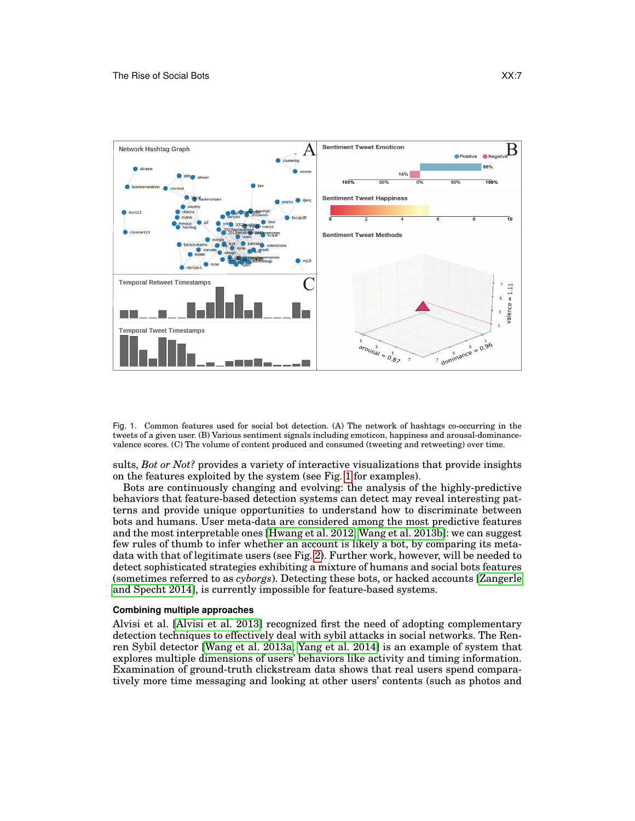

<span id="page-6-0"></span>Fig. 1. Common features used for social bot detection. (A) The network of hashtags co-occurring in the tweets of a given user. (B) Various sentiment signals including emoticon, happiness and arousal-dominancevalence scores. (C) The volume of content produced and consumed (tweeting and retweeting) over time.

sults, *Bot or Not?* provides a variety of interactive visualizations that provide insights on the features exploited by the system (see Fig. [1](#page-6-0) for examples).

Bots are continuously changing and evolving: the analysis of the highly-predictive behaviors that feature-based detection systems can detect may reveal interesting patterns and provide unique opportunities to understand how to discriminate between bots and humans. User meta-data are considered among the most predictive features and the most interpretable ones [\[Hwang et al. 2012;](#page-9-5) [Wang et al. 2013b\]](#page-10-12): we can suggest few rules of thumb to infer whether an account is likely a bot, by comparing its metadata with that of legitimate users (see Fig. [2\)](#page-7-0). Further work, however, will be needed to detect sophisticated strategies exhibiting a mixture of humans and social bots features (sometimes referred to as *cyborgs*). Detecting these bots, or hacked accounts [\[Zangerle](#page-10-16) [and Specht 2014\]](#page-10-16), is currently impossible for feature-based systems.

#### **Combining multiple approaches**

Alvisi et al. [\[Alvisi et al. 2013\]](#page-9-12) recognized first the need of adopting complementary detection techniques to effectively deal with sybil attacks in social networks. The Renren Sybil detector [\[Wang et al. 2013a;](#page-10-14) [Yang et al. 2014\]](#page-10-15) is an example of system that explores multiple dimensions of users' behaviors like activity and timing information. Examination of ground-truth clickstream data shows that real users spend comparatively more time messaging and looking at other users' contents (such as photos and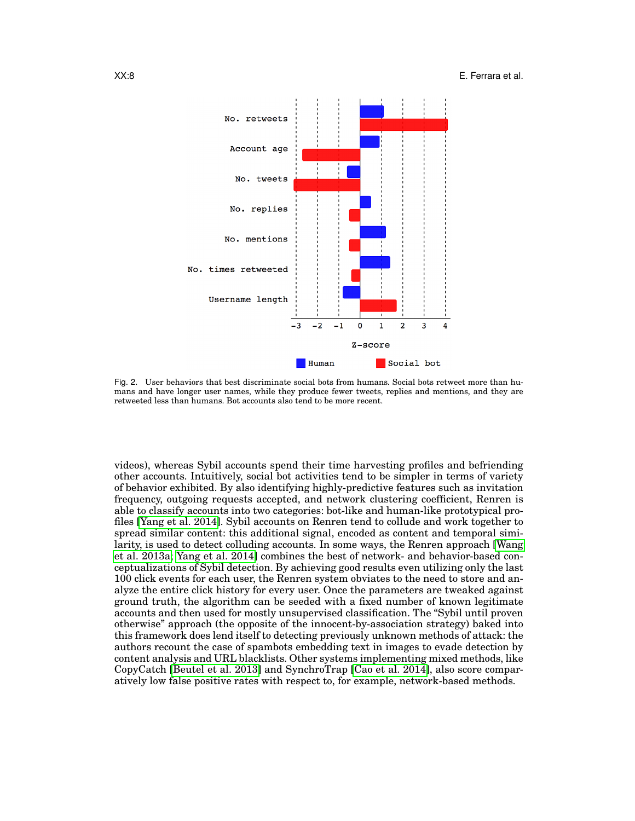XX:8 E. Ferrara et al.



<span id="page-7-0"></span>Fig. 2. User behaviors that best discriminate social bots from humans. Social bots retweet more than humans and have longer user names, while they produce fewer tweets, replies and mentions, and they are retweeted less than humans. Bot accounts also tend to be more recent.

videos), whereas Sybil accounts spend their time harvesting profiles and befriending other accounts. Intuitively, social bot activities tend to be simpler in terms of variety of behavior exhibited. By also identifying highly-predictive features such as invitation frequency, outgoing requests accepted, and network clustering coefficient, Renren is able to classify accounts into two categories: bot-like and human-like prototypical profiles [\[Yang et al. 2014\]](#page-10-15). Sybil accounts on Renren tend to collude and work together to spread similar content: this additional signal, encoded as content and temporal similarity, is used to detect colluding accounts. In some ways, the Renren approach [\[Wang](#page-10-14) [et al. 2013a;](#page-10-14) [Yang et al. 2014\]](#page-10-15) combines the best of network- and behavior-based conceptualizations of Sybil detection. By achieving good results even utilizing only the last 100 click events for each user, the Renren system obviates to the need to store and analyze the entire click history for every user. Once the parameters are tweaked against ground truth, the algorithm can be seeded with a fixed number of known legitimate accounts and then used for mostly unsupervised classification. The "Sybil until proven otherwise" approach (the opposite of the innocent-by-association strategy) baked into this framework does lend itself to detecting previously unknown methods of attack: the authors recount the case of spambots embedding text in images to evade detection by content analysis and URL blacklists. Other systems implementing mixed methods, like CopyCatch [\[Beutel et al. 2013\]](#page-9-18) and SynchroTrap [\[Cao et al. 2014\]](#page-9-19), also score comparatively low false positive rates with respect to, for example, network-based methods.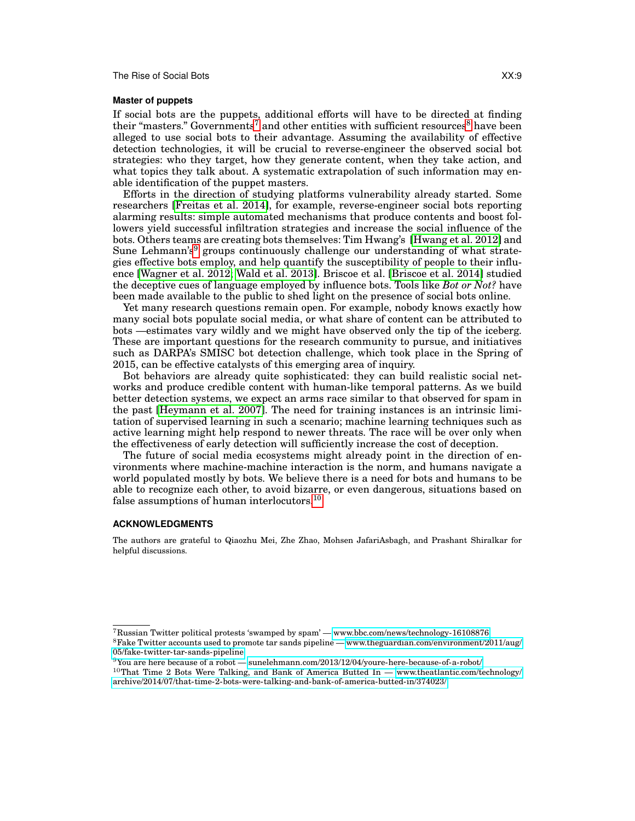# **Master of puppets**

If social bots are the puppets, additional efforts will have to be directed at finding their "masters." Governments<sup>[7](#page-8-0)</sup> and other entities with sufficient resources<sup>[8](#page-8-1)</sup> have been alleged to use social bots to their advantage. Assuming the availability of effective detection technologies, it will be crucial to reverse-engineer the observed social bot strategies: who they target, how they generate content, when they take action, and what topics they talk about. A systematic extrapolation of such information may enable identification of the puppet masters.

Efforts in the direction of studying platforms vulnerability already started. Some researchers [\[Freitas et al. 2014\]](#page-9-11), for example, reverse-engineer social bots reporting alarming results: simple automated mechanisms that produce contents and boost followers yield successful infiltration strategies and increase the social influence of the bots. Others teams are creating bots themselves: Tim Hwang's [\[Hwang et al. 2012\]](#page-9-5) and Sune Lehmann's<sup>[9](#page-8-2)</sup> groups continuously challenge our understanding of what strategies effective bots employ, and help quantify the susceptibility of people to their influence [\[Wagner et al. 2012;](#page-10-17) [Wald et al. 2013\]](#page-10-18). Briscoe et al. [\[Briscoe et al. 2014\]](#page-9-20) studied the deceptive cues of language employed by influence bots. Tools like *Bot or Not?* have been made available to the public to shed light on the presence of social bots online.

Yet many research questions remain open. For example, nobody knows exactly how many social bots populate social media, or what share of content can be attributed to bots —estimates vary wildly and we might have observed only the tip of the iceberg. These are important questions for the research community to pursue, and initiatives such as DARPA's SMISC bot detection challenge, which took place in the Spring of 2015, can be effective catalysts of this emerging area of inquiry.

Bot behaviors are already quite sophisticated: they can build realistic social networks and produce credible content with human-like temporal patterns. As we build better detection systems, we expect an arms race similar to that observed for spam in the past [\[Heymann et al. 2007\]](#page-9-21). The need for training instances is an intrinsic limitation of supervised learning in such a scenario; machine learning techniques such as active learning might help respond to newer threats. The race will be over only when the effectiveness of early detection will sufficiently increase the cost of deception.

The future of social media ecosystems might already point in the direction of environments where machine-machine interaction is the norm, and humans navigate a world populated mostly by bots. We believe there is a need for bots and humans to be able to recognize each other, to avoid bizarre, or even dangerous, situations based on false assumptions of human interlocutors.[10](#page-8-3)

# **ACKNOWLEDGMENTS**

The authors are grateful to Qiaozhu Mei, Zhe Zhao, Mohsen JafariAsbagh, and Prashant Shiralkar for helpful discussions.

<span id="page-8-1"></span><span id="page-8-0"></span><sup>7</sup>Russian Twitter political protests 'swamped by spam' —<www.bbc.com/news/technology-16108876> <sup>8</sup>Fake Twitter accounts used to promote tar sands pipeline — [www.theguardian.com/environment/2011/aug/](www.theguardian.com/environment/2011/aug/05/fake-twitter-tar-sands-pipeline) [05/fake-twitter-tar-sands-pipeline](www.theguardian.com/environment/2011/aug/05/fake-twitter-tar-sands-pipeline)

<span id="page-8-2"></span> $9$ You are here because of a robot —<sunelehmann.com/2013/12/04/youre-here-because-of-a-robot/>

<span id="page-8-3"></span> $10$ That Time 2 Bots Were Talking, and Bank of America Butted In — [www.theatlantic.com/technology/](www.theatlantic.com/technology/archive/2014/07/that-time-2-bots-were-talking-and-bank-of-america-butted-in/374023/) [archive/2014/07/that-time-2-bots-were-talking-and-bank-of-america-butted-in/374023/](www.theatlantic.com/technology/archive/2014/07/that-time-2-bots-were-talking-and-bank-of-america-butted-in/374023/)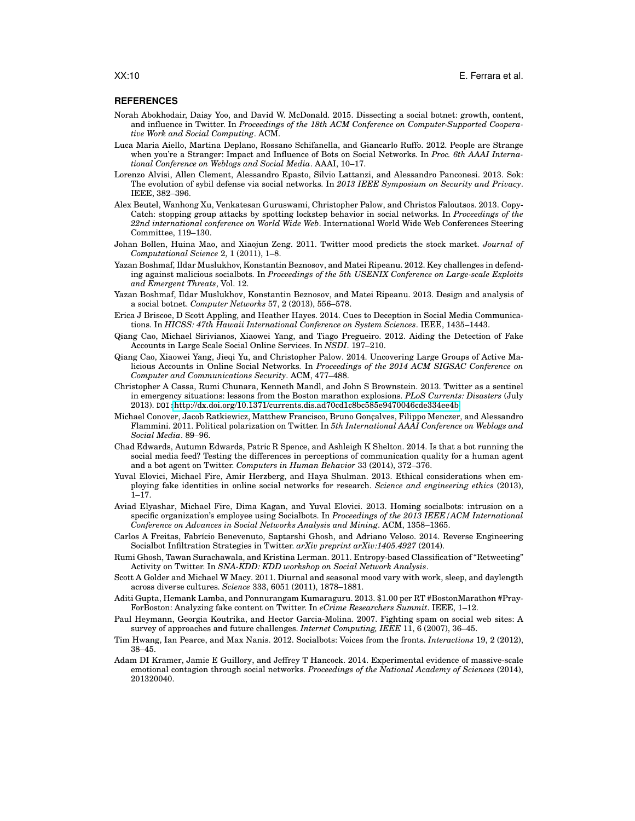#### **REFERENCES**

- <span id="page-9-17"></span>Norah Abokhodair, Daisy Yoo, and David W. McDonald. 2015. Dissecting a social botnet: growth, content, and influence in Twitter. In *Proceedings of the 18th ACM Conference on Computer-Supported Cooperative Work and Social Computing*. ACM.
- <span id="page-9-3"></span>Luca Maria Aiello, Martina Deplano, Rossano Schifanella, and Giancarlo Ruffo. 2012. People are Strange when you're a Stranger: Impact and Influence of Bots on Social Networks. In *Proc. 6th AAAI International Conference on Weblogs and Social Media*. AAAI, 10–17.
- <span id="page-9-12"></span>Lorenzo Alvisi, Allen Clement, Alessandro Epasto, Silvio Lattanzi, and Alessandro Panconesi. 2013. Sok: The evolution of sybil defense via social networks. In *2013 IEEE Symposium on Security and Privacy*. IEEE, 382–396.
- <span id="page-9-18"></span>Alex Beutel, Wanhong Xu, Venkatesan Guruswami, Christopher Palow, and Christos Faloutsos. 2013. Copy-Catch: stopping group attacks by spotting lockstep behavior in social networks. In *Proceedings of the 22nd international conference on World Wide Web*. International World Wide Web Conferences Steering Committee, 119–130.
- <span id="page-9-4"></span>Johan Bollen, Huina Mao, and Xiaojun Zeng. 2011. Twitter mood predicts the stock market. *Journal of Computational Science* 2, 1 (2011), 1–8.
- <span id="page-9-9"></span>Yazan Boshmaf, Ildar Muslukhov, Konstantin Beznosov, and Matei Ripeanu. 2012. Key challenges in defending against malicious socialbots. In *Proceedings of the 5th USENIX Conference on Large-scale Exploits and Emergent Threats*, Vol. 12.
- <span id="page-9-0"></span>Yazan Boshmaf, Ildar Muslukhov, Konstantin Beznosov, and Matei Ripeanu. 2013. Design and analysis of a social botnet. *Computer Networks* 57, 2 (2013), 556–578.
- <span id="page-9-20"></span>Erica J Briscoe, D Scott Appling, and Heather Hayes. 2014. Cues to Deception in Social Media Communications. In *HICSS: 47th Hawaii International Conference on System Sciences*. IEEE, 1435–1443.
- <span id="page-9-13"></span>Qiang Cao, Michael Sirivianos, Xiaowei Yang, and Tiago Pregueiro. 2012. Aiding the Detection of Fake Accounts in Large Scale Social Online Services. In *NSDI*. 197–210.
- <span id="page-9-19"></span>Qiang Cao, Xiaowei Yang, Jieqi Yu, and Christopher Palow. 2014. Uncovering Large Groups of Active Malicious Accounts in Online Social Networks. In *Proceedings of the 2014 ACM SIGSAC Conference on Computer and Communications Security*. ACM, 477–488.
- <span id="page-9-1"></span>Christopher A Cassa, Rumi Chunara, Kenneth Mandl, and John S Brownstein. 2013. Twitter as a sentinel in emergency situations: lessons from the Boston marathon explosions. *PLoS Currents: Disasters* (July 2013). DOI:<http://dx.doi.org/10.1371/currents.dis.ad70cd1c8bc585e9470046cde334ee4b>
- <span id="page-9-6"></span>Michael Conover, Jacob Ratkiewicz, Matthew Francisco, Bruno Gonçalves, Filippo Menczer, and Alessandro Flammini. 2011. Political polarization on Twitter. In *5th International AAAI Conference on Weblogs and Social Media*. 89–96.
- <span id="page-9-7"></span>Chad Edwards, Autumn Edwards, Patric R Spence, and Ashleigh K Shelton. 2014. Is that a bot running the social media feed? Testing the differences in perceptions of communication quality for a human agent and a bot agent on Twitter. *Computers in Human Behavior* 33 (2014), 372–376.
- <span id="page-9-16"></span>Yuval Elovici, Michael Fire, Amir Herzberg, and Haya Shulman. 2013. Ethical considerations when employing fake identities in online social networks for research. *Science and engineering ethics* (2013), 1–17.
- <span id="page-9-14"></span>Aviad Elyashar, Michael Fire, Dima Kagan, and Yuval Elovici. 2013. Homing socialbots: intrusion on a specific organization's employee using Socialbots. In *Proceedings of the 2013 IEEE/ACM International Conference on Advances in Social Networks Analysis and Mining*. ACM, 1358–1365.
- <span id="page-9-11"></span>Carlos A Freitas, Fabrício Benevenuto, Saptarshi Ghosh, and Adriano Veloso. 2014. Reverse Engineering Socialbot Infiltration Strategies in Twitter. *arXiv preprint arXiv:1405.4927* (2014).
- <span id="page-9-15"></span>Rumi Ghosh, Tawan Surachawala, and Kristina Lerman. 2011. Entropy-based Classification of "Retweeting" Activity on Twitter. In *SNA-KDD: KDD workshop on Social Network Analysis*.
- <span id="page-9-10"></span>Scott A Golder and Michael W Macy. 2011. Diurnal and seasonal mood vary with work, sleep, and daylength across diverse cultures. *Science* 333, 6051 (2011), 1878–1881.
- <span id="page-9-2"></span>Aditi Gupta, Hemank Lamba, and Ponnurangam Kumaraguru. 2013. \$1.00 per RT #BostonMarathon #Pray-ForBoston: Analyzing fake content on Twitter. In *eCrime Researchers Summit*. IEEE, 1–12.
- <span id="page-9-21"></span>Paul Heymann, Georgia Koutrika, and Hector Garcia-Molina. 2007. Fighting spam on social web sites: A survey of approaches and future challenges. *Internet Computing, IEEE* 11, 6 (2007), 36–45.
- <span id="page-9-5"></span>Tim Hwang, Ian Pearce, and Max Nanis. 2012. Socialbots: Voices from the fronts. *Interactions* 19, 2 (2012), 38–45.
- <span id="page-9-8"></span>Adam DI Kramer, Jamie E Guillory, and Jeffrey T Hancock. 2014. Experimental evidence of massive-scale emotional contagion through social networks. *Proceedings of the National Academy of Sciences* (2014), 201320040.